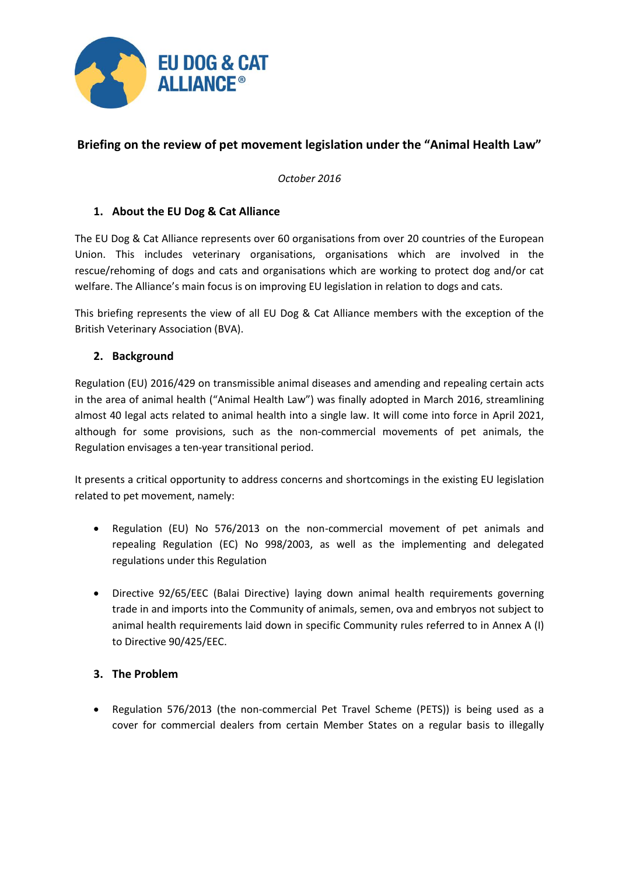

# **Briefing on the review of pet movement legislation under the "Animal Health Law"**

*October 2016*

## **1. About the EU Dog & Cat Alliance**

The EU Dog & Cat Alliance represents over 60 organisations from over 20 countries of the European Union. This includes veterinary organisations, organisations which are involved in the rescue/rehoming of dogs and cats and organisations which are working to protect dog and/or cat welfare. The Alliance's main focus is on improving EU legislation in relation to dogs and cats.

This briefing represents the view of all EU Dog & Cat Alliance members with the exception of the British Veterinary Association (BVA).

## **2. Background**

Regulation (EU) 2016/429 on transmissible animal diseases and amending and repealing certain acts in the area of animal health ("Animal Health Law") was finally adopted in March 2016, streamlining almost 40 legal acts related to animal health into a single law. It will come into force in April 2021, although for some provisions, such as the non-commercial movements of pet animals, the Regulation envisages a ten-year transitional period.

It presents a critical opportunity to address concerns and shortcomings in the existing EU legislation related to pet movement, namely:

- Regulation (EU) No 576/2013 on the non-commercial movement of pet animals and repealing Regulation (EC) No 998/2003, as well as the implementing and delegated regulations under this Regulation
- Directive 92/65/EEC (Balai Directive) laying down animal health requirements governing trade in and imports into the Community of animals, semen, ova and embryos not subject to animal health requirements laid down in specific Community rules referred to in Annex A (I) to Directive 90/425/EEC.

#### **3. The Problem**

 Regulation 576/2013 (the non-commercial Pet Travel Scheme (PETS)) is being used as a cover for commercial dealers from certain Member States on a regular basis to illegally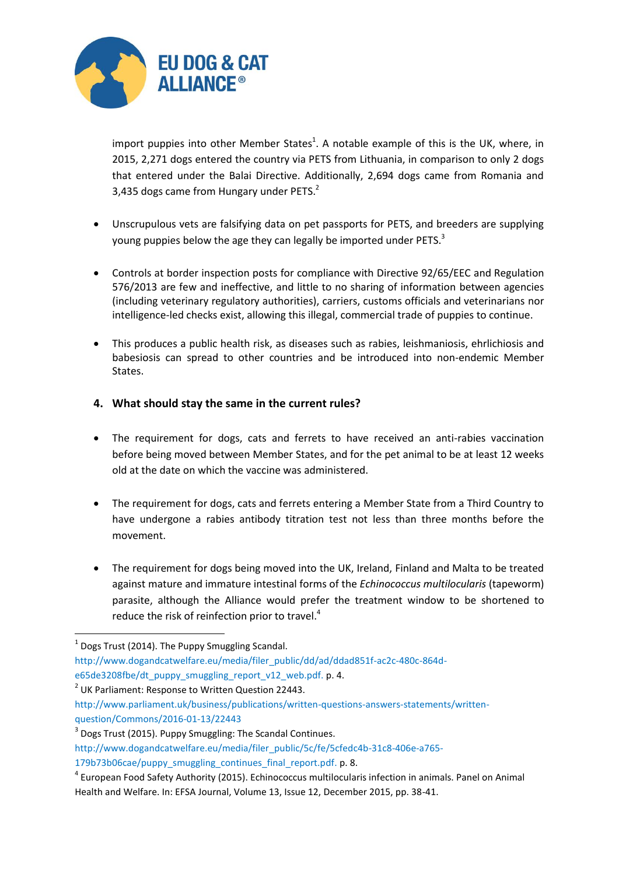

import puppies into other Member States<sup>1</sup>. A notable example of this is the UK, where, in 2015, 2,271 dogs entered the country via PETS from Lithuania, in comparison to only 2 dogs that entered under the Balai Directive. Additionally, 2,694 dogs came from Romania and 3,435 dogs came from Hungary under PETS.<sup>2</sup>

- Unscrupulous vets are falsifying data on pet passports for PETS, and breeders are supplying young puppies below the age they can legally be imported under PETS. $^3$
- Controls at border inspection posts for compliance with Directive 92/65/EEC and Regulation 576/2013 are few and ineffective, and little to no sharing of information between agencies (including veterinary regulatory authorities), carriers, customs officials and veterinarians nor intelligence-led checks exist, allowing this illegal, commercial trade of puppies to continue.
- This produces a public health risk, as diseases such as rabies, leishmaniosis, ehrlichiosis and babesiosis can spread to other countries and be introduced into non-endemic Member States.

## **4. What should stay the same in the current rules?**

- The requirement for dogs, cats and ferrets to have received an anti-rabies vaccination before being moved between Member States, and for the pet animal to be at least 12 weeks old at the date on which the vaccine was administered.
- The requirement for dogs, cats and ferrets entering a Member State from a Third Country to have undergone a rabies antibody titration test not less than three months before the movement.
- The requirement for dogs being moved into the UK, Ireland, Finland and Malta to be treated against mature and immature intestinal forms of the *Echinococcus multilocularis* (tapeworm) parasite, although the Alliance would prefer the treatment window to be shortened to reduce the risk of reinfection prior to travel.<sup>4</sup>

1

 $1$  Dogs Trust (2014). The Puppy Smuggling Scandal.

[http://www.dogandcatwelfare.eu/media/filer\\_public/dd/ad/ddad851f-ac2c-480c-864d-](http://www.dogandcatwelfare.eu/media/filer_public/dd/ad/ddad851f-ac2c-480c-864d-e65de3208fbe/dt_puppy_smuggling_report_v12_web.pdf)

[e65de3208fbe/dt\\_puppy\\_smuggling\\_report\\_v12\\_web.pdf.](http://www.dogandcatwelfare.eu/media/filer_public/dd/ad/ddad851f-ac2c-480c-864d-e65de3208fbe/dt_puppy_smuggling_report_v12_web.pdf) p. 4.

 $2$  UK Parliament: Response to Written Question 22443.

[http://www.parliament.uk/business/publications/written-questions-answers-statements/written](http://www.parliament.uk/business/publications/written-questions-answers-statements/written-question/Commons/2016-01-13/22443)[question/Commons/2016-01-13/22443](http://www.parliament.uk/business/publications/written-questions-answers-statements/written-question/Commons/2016-01-13/22443)

<sup>&</sup>lt;sup>3</sup> Dogs Trust (2015). Puppy Smuggling: The Scandal Continues.

[http://www.dogandcatwelfare.eu/media/filer\\_public/5c/fe/5cfedc4b-31c8-406e-a765-](http://www.dogandcatwelfare.eu/media/filer_public/5c/fe/5cfedc4b-31c8-406e-a765-179b73b06cae/puppy_smuggling_continues_final_report.pdf) [179b73b06cae/puppy\\_smuggling\\_continues\\_final\\_report.pdf.](http://www.dogandcatwelfare.eu/media/filer_public/5c/fe/5cfedc4b-31c8-406e-a765-179b73b06cae/puppy_smuggling_continues_final_report.pdf) p. 8.

<sup>4</sup> European Food Safety Authority (2015). Echinococcus multilocularis infection in animals. Panel on Animal Health and Welfare. In: EFSA Journal, Volume 13, Issue 12, December 2015, pp. 38-41.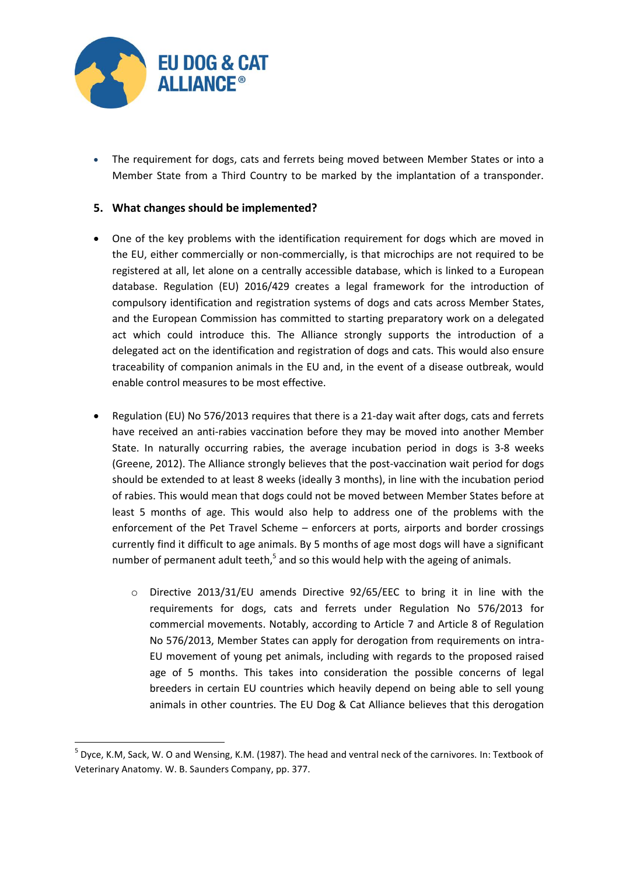

1

 The requirement for dogs, cats and ferrets being moved between Member States or into a Member State from a Third Country to be marked by the implantation of a transponder.

### **5. What changes should be implemented?**

- One of the key problems with the identification requirement for dogs which are moved in the EU, either commercially or non-commercially, is that microchips are not required to be registered at all, let alone on a centrally accessible database, which is linked to a European database. Regulation (EU) 2016/429 creates a legal framework for the introduction of compulsory identification and registration systems of dogs and cats across Member States, and the European Commission has committed to starting preparatory work on a delegated act which could introduce this. The Alliance strongly supports the introduction of a delegated act on the identification and registration of dogs and cats. This would also ensure traceability of companion animals in the EU and, in the event of a disease outbreak, would enable control measures to be most effective.
- Regulation (EU) No 576/2013 requires that there is a 21-day wait after dogs, cats and ferrets have received an anti-rabies vaccination before they may be moved into another Member State. In naturally occurring rabies, the average incubation period in dogs is 3-8 weeks (Greene, 2012). The Alliance strongly believes that the post-vaccination wait period for dogs should be extended to at least 8 weeks (ideally 3 months), in line with the incubation period of rabies. This would mean that dogs could not be moved between Member States before at least 5 months of age. This would also help to address one of the problems with the enforcement of the Pet Travel Scheme – enforcers at ports, airports and border crossings currently find it difficult to age animals. By 5 months of age most dogs will have a significant number of permanent adult teeth,<sup>5</sup> and so this would help with the ageing of animals.
	- o Directive 2013/31/EU amends Directive 92/65/EEC to bring it in line with the requirements for dogs, cats and ferrets under Regulation No 576/2013 for commercial movements. Notably, according to Article 7 and Article 8 of Regulation No 576/2013, Member States can apply for derogation from requirements on intra-EU movement of young pet animals, including with regards to the proposed raised age of 5 months. This takes into consideration the possible concerns of legal breeders in certain EU countries which heavily depend on being able to sell young animals in other countries. The EU Dog & Cat Alliance believes that this derogation

<sup>5</sup> Dyce, K.M, Sack, W. O and Wensing, K.M. (1987). The head and ventral neck of the carnivores. In: Textbook of Veterinary Anatomy. W. B. Saunders Company, pp. 377.